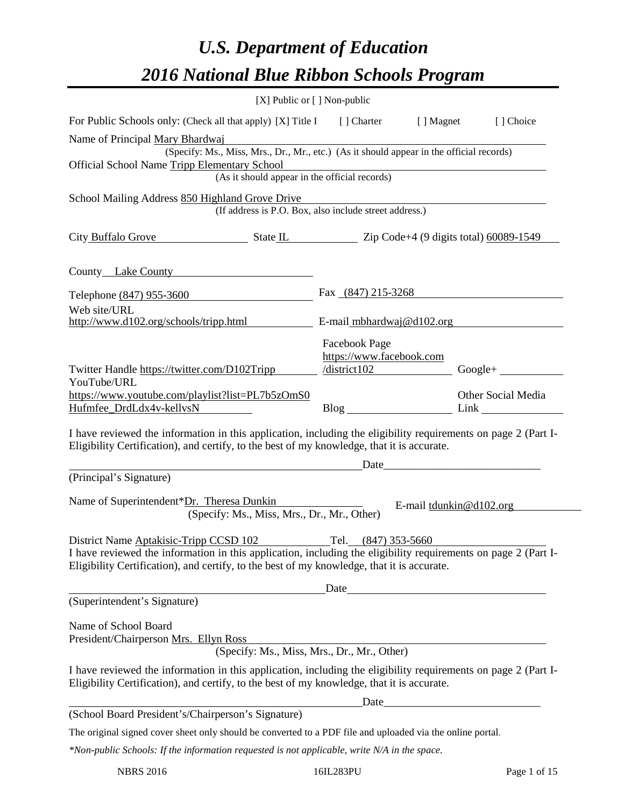# *U.S. Department of Education 2016 National Blue Ribbon Schools Program*

| [X] Public or [] Non-public                                                                                                                                                                                                                            |                                                                                                                                                                                      |                           |
|--------------------------------------------------------------------------------------------------------------------------------------------------------------------------------------------------------------------------------------------------------|--------------------------------------------------------------------------------------------------------------------------------------------------------------------------------------|---------------------------|
| For Public Schools only: (Check all that apply) [X] Title I [] Charter [] Magnet                                                                                                                                                                       |                                                                                                                                                                                      | [] Choice                 |
| Name of Principal Mary Bhardwaj                                                                                                                                                                                                                        |                                                                                                                                                                                      |                           |
| (Specify: Ms., Miss, Mrs., Dr., Mr., etc.) (As it should appear in the official records)<br>Official School Name Tripp Elementary School                                                                                                               |                                                                                                                                                                                      |                           |
|                                                                                                                                                                                                                                                        | mentary School<br>(As it should appear in the official records)                                                                                                                      |                           |
| School Mailing Address 850 Highland Grove Drive                                                                                                                                                                                                        |                                                                                                                                                                                      |                           |
|                                                                                                                                                                                                                                                        | (If address is P.O. Box, also include street address.)                                                                                                                               |                           |
| City Buffalo Grove State IL State IL Zip Code+4 (9 digits total) 60089-1549                                                                                                                                                                            |                                                                                                                                                                                      |                           |
| County Lake County                                                                                                                                                                                                                                     |                                                                                                                                                                                      |                           |
| Telephone (847) 955-3600                                                                                                                                                                                                                               | Fax $(847)$ 215-3268                                                                                                                                                                 |                           |
| Web site/URL                                                                                                                                                                                                                                           |                                                                                                                                                                                      |                           |
| http://www.d102.org/schools/tripp.html $E$ -mail_mbhardwaj@d102.org                                                                                                                                                                                    |                                                                                                                                                                                      |                           |
| Twitter Handle https://twitter.com/D102Tripp                                                                                                                                                                                                           | <b>Facebook Page</b><br>https://www.facebook.com<br>$\sqrt{\text{distinct}}$ 102                                                                                                     | $Google +$                |
| YouTube/URL<br>https://www.youtube.com/playlist?list=PL7b5zOmS0<br>Hufmfee_DrdLdx4v-kellvsN                                                                                                                                                            |                                                                                                                                                                                      | Other Social Media        |
| I have reviewed the information in this application, including the eligibility requirements on page 2 (Part I-<br>Eligibility Certification), and certify, to the best of my knowledge, that it is accurate.                                           |                                                                                                                                                                                      |                           |
|                                                                                                                                                                                                                                                        | <u>Date</u> <u>Date</u> <i>Date Date Date Date Date Date Date Date Date Date Date Date Date Date Date Date Date Date Date Date Date Date Date Date Date Date Date Date Date Date</i> |                           |
| (Principal's Signature)                                                                                                                                                                                                                                |                                                                                                                                                                                      |                           |
| Name of Superintendent*Dr. Theresa Dunkin<br>(Specify: Ms., Miss, Mrs., Dr., Mr., Other)                                                                                                                                                               |                                                                                                                                                                                      | E-mail $tdunkin@d102.org$ |
| District Name Aptakisic-Tripp CCSD 102<br>I have reviewed the information in this application, including the eligibility requirements on page 2 (Part I-<br>Eligibility Certification), and certify, to the best of my knowledge, that it is accurate. | Tel. (847) 353-5660                                                                                                                                                                  |                           |
| (Superintendent's Signature)                                                                                                                                                                                                                           | Date                                                                                                                                                                                 |                           |
|                                                                                                                                                                                                                                                        |                                                                                                                                                                                      |                           |
| Name of School Board<br>President/Chairperson Mrs. Ellyn Ross                                                                                                                                                                                          | The Ross<br>(Specify: Ms., Miss, Mrs., Dr., Mr., Other)                                                                                                                              |                           |
|                                                                                                                                                                                                                                                        |                                                                                                                                                                                      |                           |
| I have reviewed the information in this application, including the eligibility requirements on page 2 (Part I-<br>Eligibility Certification), and certify, to the best of my knowledge, that it is accurate.                                           |                                                                                                                                                                                      |                           |
|                                                                                                                                                                                                                                                        |                                                                                                                                                                                      |                           |
| (School Board President's/Chairperson's Signature)                                                                                                                                                                                                     |                                                                                                                                                                                      |                           |
| The original signed cover sheet only should be converted to a PDF file and uploaded via the online portal.                                                                                                                                             |                                                                                                                                                                                      |                           |
| *Non-public Schools: If the information requested is not applicable, write N/A in the space.                                                                                                                                                           |                                                                                                                                                                                      |                           |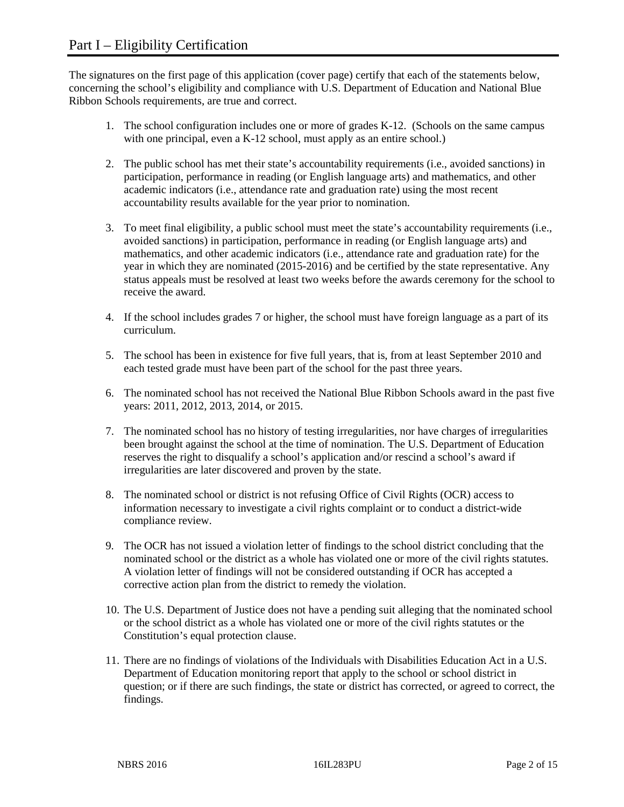The signatures on the first page of this application (cover page) certify that each of the statements below, concerning the school's eligibility and compliance with U.S. Department of Education and National Blue Ribbon Schools requirements, are true and correct.

- 1. The school configuration includes one or more of grades K-12. (Schools on the same campus with one principal, even a K-12 school, must apply as an entire school.)
- 2. The public school has met their state's accountability requirements (i.e., avoided sanctions) in participation, performance in reading (or English language arts) and mathematics, and other academic indicators (i.e., attendance rate and graduation rate) using the most recent accountability results available for the year prior to nomination.
- 3. To meet final eligibility, a public school must meet the state's accountability requirements (i.e., avoided sanctions) in participation, performance in reading (or English language arts) and mathematics, and other academic indicators (i.e., attendance rate and graduation rate) for the year in which they are nominated (2015-2016) and be certified by the state representative. Any status appeals must be resolved at least two weeks before the awards ceremony for the school to receive the award.
- 4. If the school includes grades 7 or higher, the school must have foreign language as a part of its curriculum.
- 5. The school has been in existence for five full years, that is, from at least September 2010 and each tested grade must have been part of the school for the past three years.
- 6. The nominated school has not received the National Blue Ribbon Schools award in the past five years: 2011, 2012, 2013, 2014, or 2015.
- 7. The nominated school has no history of testing irregularities, nor have charges of irregularities been brought against the school at the time of nomination. The U.S. Department of Education reserves the right to disqualify a school's application and/or rescind a school's award if irregularities are later discovered and proven by the state.
- 8. The nominated school or district is not refusing Office of Civil Rights (OCR) access to information necessary to investigate a civil rights complaint or to conduct a district-wide compliance review.
- 9. The OCR has not issued a violation letter of findings to the school district concluding that the nominated school or the district as a whole has violated one or more of the civil rights statutes. A violation letter of findings will not be considered outstanding if OCR has accepted a corrective action plan from the district to remedy the violation.
- 10. The U.S. Department of Justice does not have a pending suit alleging that the nominated school or the school district as a whole has violated one or more of the civil rights statutes or the Constitution's equal protection clause.
- 11. There are no findings of violations of the Individuals with Disabilities Education Act in a U.S. Department of Education monitoring report that apply to the school or school district in question; or if there are such findings, the state or district has corrected, or agreed to correct, the findings.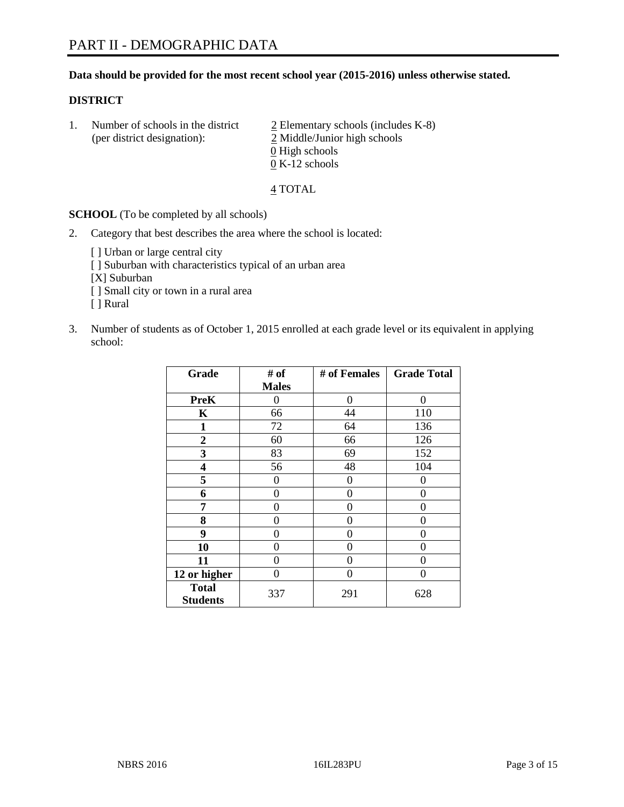## **Data should be provided for the most recent school year (2015-2016) unless otherwise stated.**

## **DISTRICT**

1. Number of schools in the district  $\frac{2}{2}$  Elementary schools (includes K-8) (per district designation): 2 Middle/Junior high schools 0 High schools 0 K-12 schools

#### 4 TOTAL

**SCHOOL** (To be completed by all schools)

- 2. Category that best describes the area where the school is located:
	- [] Urban or large central city [ ] Suburban with characteristics typical of an urban area [X] Suburban [ ] Small city or town in a rural area [ ] Rural
- 3. Number of students as of October 1, 2015 enrolled at each grade level or its equivalent in applying school:

| Grade                           | # of         | # of Females | <b>Grade Total</b> |
|---------------------------------|--------------|--------------|--------------------|
|                                 | <b>Males</b> |              |                    |
| <b>PreK</b>                     | 0            | $\theta$     | 0                  |
| K                               | 66           | 44           | 110                |
| $\mathbf{1}$                    | 72           | 64           | 136                |
| $\overline{2}$                  | 60           | 66           | 126                |
| 3                               | 83           | 69           | 152                |
| 4                               | 56           | 48           | 104                |
| 5                               | 0            | 0            | $\theta$           |
| 6                               | 0            | $\theta$     | 0                  |
| 7                               | 0            | 0            | 0                  |
| 8                               | 0            | $\theta$     | 0                  |
| 9                               | 0            | 0            | 0                  |
| 10                              | 0            | 0            | 0                  |
| 11                              | $\theta$     | 0            | 0                  |
| 12 or higher                    | $\theta$     | 0            | 0                  |
| <b>Total</b><br><b>Students</b> | 337          | 291          | 628                |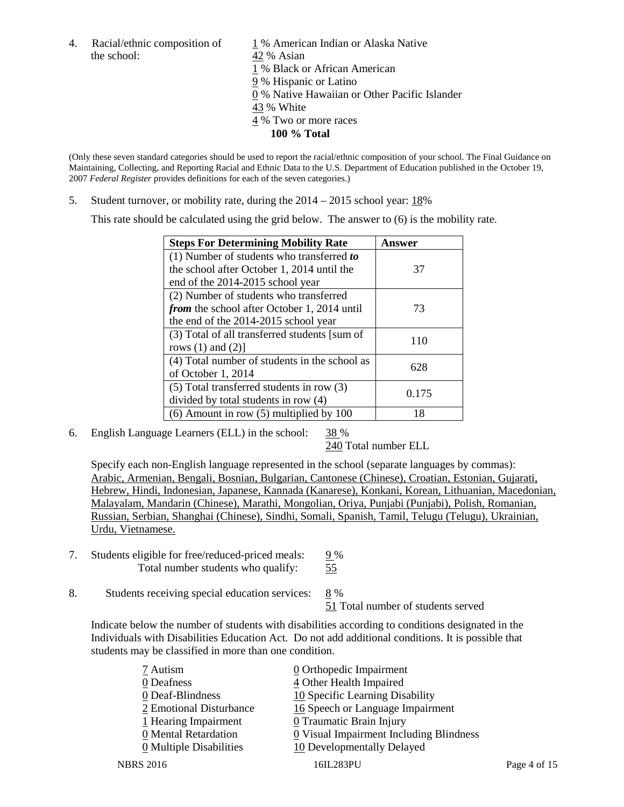the school: 42 % Asian

4. Racial/ethnic composition of 1 % American Indian or Alaska Native 1 % Black or African American 9 % Hispanic or Latino 0 % Native Hawaiian or Other Pacific Islander 43 % White 4 % Two or more races **100 % Total**

(Only these seven standard categories should be used to report the racial/ethnic composition of your school. The Final Guidance on Maintaining, Collecting, and Reporting Racial and Ethnic Data to the U.S. Department of Education published in the October 19, 2007 *Federal Register* provides definitions for each of the seven categories.)

5. Student turnover, or mobility rate, during the 2014 – 2015 school year: 18%

This rate should be calculated using the grid below. The answer to (6) is the mobility rate.

| <b>Steps For Determining Mobility Rate</b>         | Answer |  |
|----------------------------------------------------|--------|--|
| (1) Number of students who transferred to          |        |  |
| the school after October 1, 2014 until the         | 37     |  |
| end of the 2014-2015 school year                   |        |  |
| (2) Number of students who transferred             |        |  |
| <i>from</i> the school after October 1, 2014 until | 73     |  |
| the end of the 2014-2015 school year               |        |  |
| (3) Total of all transferred students [sum of      | 110    |  |
| rows $(1)$ and $(2)$ ]                             |        |  |
| (4) Total number of students in the school as      | 628    |  |
| of October 1, 2014                                 |        |  |
| (5) Total transferred students in row (3)          | 0.175  |  |
| divided by total students in row (4)               |        |  |
| $(6)$ Amount in row $(5)$ multiplied by 100        | 18     |  |

6. English Language Learners (ELL) in the school: 38 %

240 Total number ELL

Specify each non-English language represented in the school (separate languages by commas): Arabic, Armenian, Bengali, Bosnian, Bulgarian, Cantonese (Chinese), Croatian, Estonian, Gujarati, Hebrew, Hindi, Indonesian, Japanese, Kannada (Kanarese), Konkani, Korean, Lithuanian, Macedonian, Malayalam, Mandarin (Chinese), Marathi, Mongolian, Oriya, Punjabi (Punjabi), Polish, Romanian, Russian, Serbian, Shanghai (Chinese), Sindhi, Somali, Spanish, Tamil, Telugu (Telugu), Ukrainian, Urdu, Vietnamese.

- 7. Students eligible for free/reduced-priced meals:  $\frac{9\%}{55}$ Total number students who qualify:
- 8. Students receiving special education services: 8 %

51 Total number of students served

Indicate below the number of students with disabilities according to conditions designated in the Individuals with Disabilities Education Act. Do not add additional conditions. It is possible that students may be classified in more than one condition.

| 7 Autism<br>0 Deafness  | $\underline{0}$ Orthopedic Impairment<br>4 Other Health Impaired |              |
|-------------------------|------------------------------------------------------------------|--------------|
| 0 Deaf-Blindness        | 10 Specific Learning Disability                                  |              |
| 2 Emotional Disturbance | 16 Speech or Language Impairment                                 |              |
| 1 Hearing Impairment    | <b>0</b> Traumatic Brain Injury                                  |              |
| 0 Mental Retardation    | 0 Visual Impairment Including Blindness                          |              |
| 0 Multiple Disabilities | 10 Developmentally Delayed                                       |              |
| <b>NBRS 2016</b>        | 16IL283PU                                                        | Page 4 of 15 |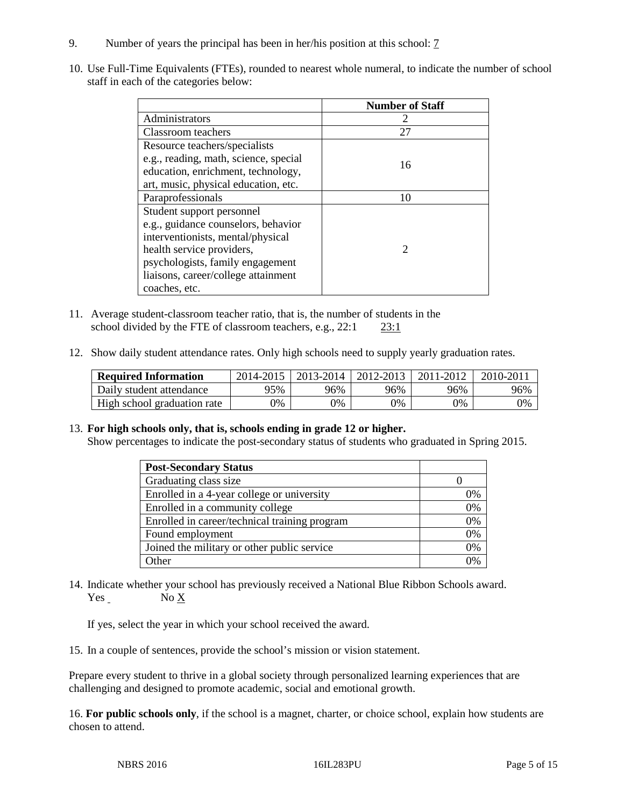- 9. Number of years the principal has been in her/his position at this school: 7
- 10. Use Full-Time Equivalents (FTEs), rounded to nearest whole numeral, to indicate the number of school staff in each of the categories below:

|                                       | <b>Number of Staff</b> |
|---------------------------------------|------------------------|
| Administrators                        |                        |
| Classroom teachers                    | 27                     |
| Resource teachers/specialists         |                        |
| e.g., reading, math, science, special | 16                     |
| education, enrichment, technology,    |                        |
| art, music, physical education, etc.  |                        |
| Paraprofessionals                     | 10                     |
| Student support personnel             |                        |
| e.g., guidance counselors, behavior   |                        |
| interventionists, mental/physical     |                        |
| health service providers,             | 2                      |
| psychologists, family engagement      |                        |
| liaisons, career/college attainment   |                        |
| coaches, etc.                         |                        |

- 11. Average student-classroom teacher ratio, that is, the number of students in the school divided by the FTE of classroom teachers, e.g., 22:1 23:1
- 12. Show daily student attendance rates. Only high schools need to supply yearly graduation rates.

| <b>Required Information</b> | 2014-2015 | 2013-2014  | 2012-2013 | 2011-2012 | 2010-201 |
|-----------------------------|-----------|------------|-----------|-----------|----------|
| Daily student attendance    | 95%       | 96%        | 96%       | 96%       | 96%      |
| High school graduation rate | 0%        | $\gamma\%$ | 9%        | 9%        | 0%       |

13. **For high schools only, that is, schools ending in grade 12 or higher.** 

Show percentages to indicate the post-secondary status of students who graduated in Spring 2015.

| <b>Post-Secondary Status</b>                  |    |
|-----------------------------------------------|----|
| Graduating class size                         |    |
| Enrolled in a 4-year college or university    | 0% |
| Enrolled in a community college               | 0% |
| Enrolled in career/technical training program | 0% |
| Found employment                              | 0% |
| Joined the military or other public service   | 0% |
| Other                                         | 0/ |

14. Indicate whether your school has previously received a National Blue Ribbon Schools award. Yes No X

If yes, select the year in which your school received the award.

15. In a couple of sentences, provide the school's mission or vision statement.

Prepare every student to thrive in a global society through personalized learning experiences that are challenging and designed to promote academic, social and emotional growth.

16. **For public schools only**, if the school is a magnet, charter, or choice school, explain how students are chosen to attend.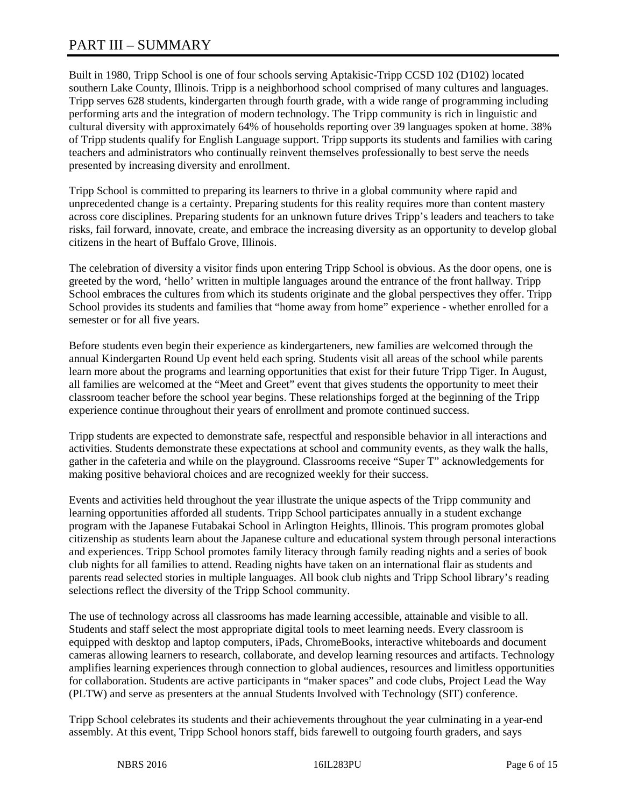# PART III – SUMMARY

Built in 1980, Tripp School is one of four schools serving Aptakisic-Tripp CCSD 102 (D102) located southern Lake County, Illinois. Tripp is a neighborhood school comprised of many cultures and languages. Tripp serves 628 students, kindergarten through fourth grade, with a wide range of programming including performing arts and the integration of modern technology. The Tripp community is rich in linguistic and cultural diversity with approximately 64% of households reporting over 39 languages spoken at home. 38% of Tripp students qualify for English Language support. Tripp supports its students and families with caring teachers and administrators who continually reinvent themselves professionally to best serve the needs presented by increasing diversity and enrollment.

Tripp School is committed to preparing its learners to thrive in a global community where rapid and unprecedented change is a certainty. Preparing students for this reality requires more than content mastery across core disciplines. Preparing students for an unknown future drives Tripp's leaders and teachers to take risks, fail forward, innovate, create, and embrace the increasing diversity as an opportunity to develop global citizens in the heart of Buffalo Grove, Illinois.

The celebration of diversity a visitor finds upon entering Tripp School is obvious. As the door opens, one is greeted by the word, 'hello' written in multiple languages around the entrance of the front hallway. Tripp School embraces the cultures from which its students originate and the global perspectives they offer. Tripp School provides its students and families that "home away from home" experience - whether enrolled for a semester or for all five years.

Before students even begin their experience as kindergarteners, new families are welcomed through the annual Kindergarten Round Up event held each spring. Students visit all areas of the school while parents learn more about the programs and learning opportunities that exist for their future Tripp Tiger. In August, all families are welcomed at the "Meet and Greet" event that gives students the opportunity to meet their classroom teacher before the school year begins. These relationships forged at the beginning of the Tripp experience continue throughout their years of enrollment and promote continued success.

Tripp students are expected to demonstrate safe, respectful and responsible behavior in all interactions and activities. Students demonstrate these expectations at school and community events, as they walk the halls, gather in the cafeteria and while on the playground. Classrooms receive "Super T" acknowledgements for making positive behavioral choices and are recognized weekly for their success.

Events and activities held throughout the year illustrate the unique aspects of the Tripp community and learning opportunities afforded all students. Tripp School participates annually in a student exchange program with the Japanese Futabakai School in Arlington Heights, Illinois. This program promotes global citizenship as students learn about the Japanese culture and educational system through personal interactions and experiences. Tripp School promotes family literacy through family reading nights and a series of book club nights for all families to attend. Reading nights have taken on an international flair as students and parents read selected stories in multiple languages. All book club nights and Tripp School library's reading selections reflect the diversity of the Tripp School community.

The use of technology across all classrooms has made learning accessible, attainable and visible to all. Students and staff select the most appropriate digital tools to meet learning needs. Every classroom is equipped with desktop and laptop computers, iPads, ChromeBooks, interactive whiteboards and document cameras allowing learners to research, collaborate, and develop learning resources and artifacts. Technology amplifies learning experiences through connection to global audiences, resources and limitless opportunities for collaboration. Students are active participants in "maker spaces" and code clubs, Project Lead the Way (PLTW) and serve as presenters at the annual Students Involved with Technology (SIT) conference.

Tripp School celebrates its students and their achievements throughout the year culminating in a year-end assembly. At this event, Tripp School honors staff, bids farewell to outgoing fourth graders, and says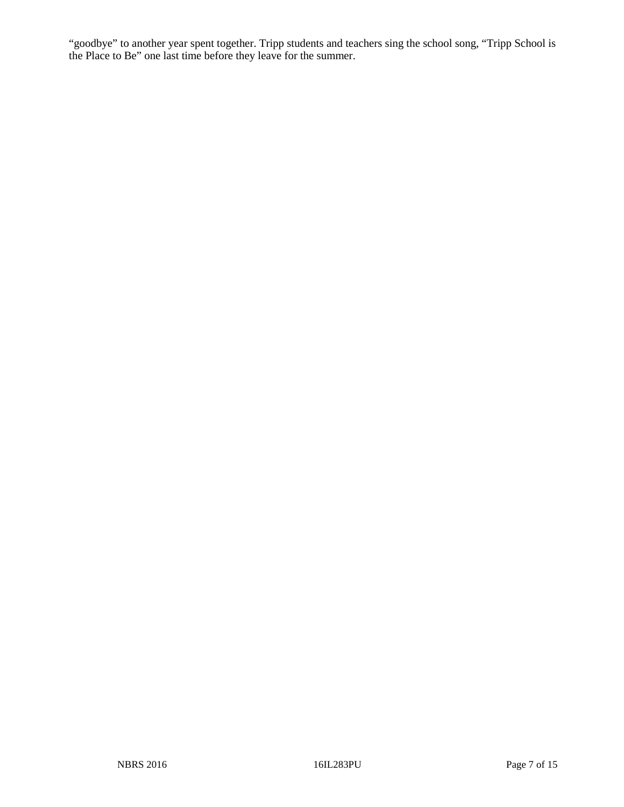"goodbye" to another year spent together. Tripp students and teachers sing the school song, "Tripp School is the Place to Be" one last time before they leave for the summer.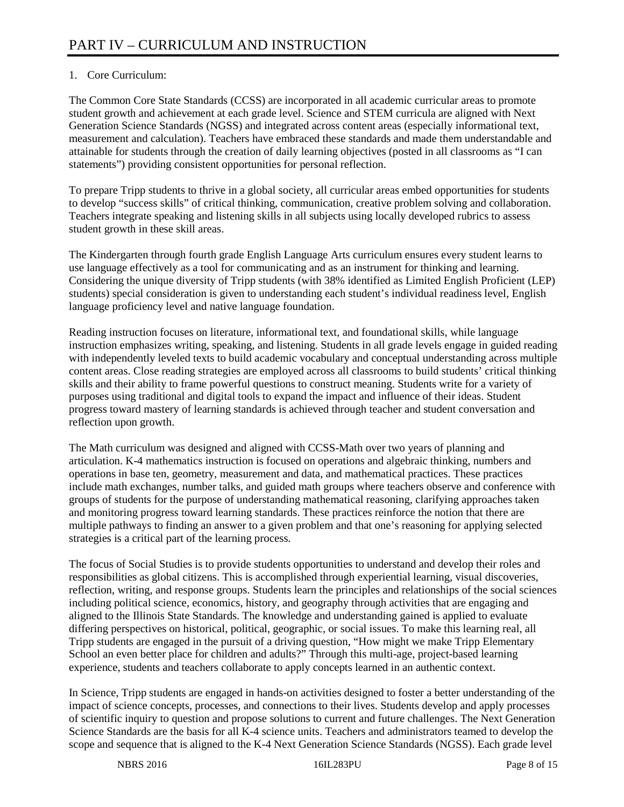# 1. Core Curriculum:

The Common Core State Standards (CCSS) are incorporated in all academic curricular areas to promote student growth and achievement at each grade level. Science and STEM curricula are aligned with Next Generation Science Standards (NGSS) and integrated across content areas (especially informational text, measurement and calculation). Teachers have embraced these standards and made them understandable and attainable for students through the creation of daily learning objectives (posted in all classrooms as "I can statements") providing consistent opportunities for personal reflection.

To prepare Tripp students to thrive in a global society, all curricular areas embed opportunities for students to develop "success skills" of critical thinking, communication, creative problem solving and collaboration. Teachers integrate speaking and listening skills in all subjects using locally developed rubrics to assess student growth in these skill areas.

The Kindergarten through fourth grade English Language Arts curriculum ensures every student learns to use language effectively as a tool for communicating and as an instrument for thinking and learning. Considering the unique diversity of Tripp students (with 38% identified as Limited English Proficient (LEP) students) special consideration is given to understanding each student's individual readiness level, English language proficiency level and native language foundation.

Reading instruction focuses on literature, informational text, and foundational skills, while language instruction emphasizes writing, speaking, and listening. Students in all grade levels engage in guided reading with independently leveled texts to build academic vocabulary and conceptual understanding across multiple content areas. Close reading strategies are employed across all classrooms to build students' critical thinking skills and their ability to frame powerful questions to construct meaning. Students write for a variety of purposes using traditional and digital tools to expand the impact and influence of their ideas. Student progress toward mastery of learning standards is achieved through teacher and student conversation and reflection upon growth.

The Math curriculum was designed and aligned with CCSS-Math over two years of planning and articulation. K-4 mathematics instruction is focused on operations and algebraic thinking, numbers and operations in base ten, geometry, measurement and data, and mathematical practices. These practices include math exchanges, number talks, and guided math groups where teachers observe and conference with groups of students for the purpose of understanding mathematical reasoning, clarifying approaches taken and monitoring progress toward learning standards. These practices reinforce the notion that there are multiple pathways to finding an answer to a given problem and that one's reasoning for applying selected strategies is a critical part of the learning process.

The focus of Social Studies is to provide students opportunities to understand and develop their roles and responsibilities as global citizens. This is accomplished through experiential learning, visual discoveries, reflection, writing, and response groups. Students learn the principles and relationships of the social sciences including political science, economics, history, and geography through activities that are engaging and aligned to the Illinois State Standards. The knowledge and understanding gained is applied to evaluate differing perspectives on historical, political, geographic, or social issues. To make this learning real, all Tripp students are engaged in the pursuit of a driving question, "How might we make Tripp Elementary School an even better place for children and adults?" Through this multi-age, project-based learning experience, students and teachers collaborate to apply concepts learned in an authentic context.

In Science, Tripp students are engaged in hands-on activities designed to foster a better understanding of the impact of science concepts, processes, and connections to their lives. Students develop and apply processes of scientific inquiry to question and propose solutions to current and future challenges. The Next Generation Science Standards are the basis for all K-4 science units. Teachers and administrators teamed to develop the scope and sequence that is aligned to the K-4 Next Generation Science Standards (NGSS). Each grade level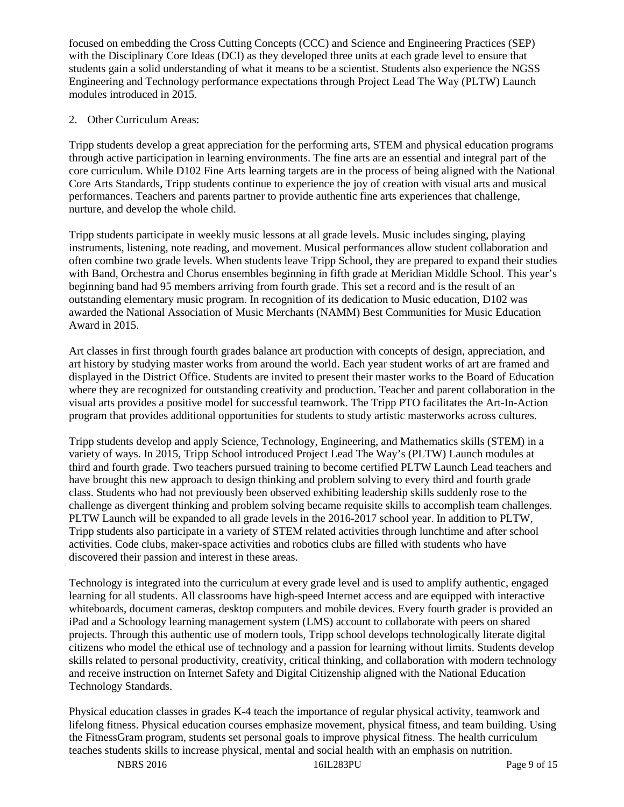focused on embedding the Cross Cutting Concepts (CCC) and Science and Engineering Practices (SEP) with the Disciplinary Core Ideas (DCI) as they developed three units at each grade level to ensure that students gain a solid understanding of what it means to be a scientist. Students also experience the NGSS Engineering and Technology performance expectations through Project Lead The Way (PLTW) Launch modules introduced in 2015.

## 2. Other Curriculum Areas:

Tripp students develop a great appreciation for the performing arts, STEM and physical education programs through active participation in learning environments. The fine arts are an essential and integral part of the core curriculum. While D102 Fine Arts learning targets are in the process of being aligned with the National Core Arts Standards, Tripp students continue to experience the joy of creation with visual arts and musical performances. Teachers and parents partner to provide authentic fine arts experiences that challenge, nurture, and develop the whole child.

Tripp students participate in weekly music lessons at all grade levels. Music includes singing, playing instruments, listening, note reading, and movement. Musical performances allow student collaboration and often combine two grade levels. When students leave Tripp School, they are prepared to expand their studies with Band, Orchestra and Chorus ensembles beginning in fifth grade at Meridian Middle School. This year's beginning band had 95 members arriving from fourth grade. This set a record and is the result of an outstanding elementary music program. In recognition of its dedication to Music education, D102 was awarded the National Association of Music Merchants (NAMM) Best Communities for Music Education Award in 2015.

Art classes in first through fourth grades balance art production with concepts of design, appreciation, and art history by studying master works from around the world. Each year student works of art are framed and displayed in the District Office. Students are invited to present their master works to the Board of Education where they are recognized for outstanding creativity and production. Teacher and parent collaboration in the visual arts provides a positive model for successful teamwork. The Tripp PTO facilitates the Art-In-Action program that provides additional opportunities for students to study artistic masterworks across cultures.

Tripp students develop and apply Science, Technology, Engineering, and Mathematics skills (STEM) in a variety of ways. In 2015, Tripp School introduced Project Lead The Way's (PLTW) Launch modules at third and fourth grade. Two teachers pursued training to become certified PLTW Launch Lead teachers and have brought this new approach to design thinking and problem solving to every third and fourth grade class. Students who had not previously been observed exhibiting leadership skills suddenly rose to the challenge as divergent thinking and problem solving became requisite skills to accomplish team challenges. PLTW Launch will be expanded to all grade levels in the 2016-2017 school year. In addition to PLTW, Tripp students also participate in a variety of STEM related activities through lunchtime and after school activities. Code clubs, maker-space activities and robotics clubs are filled with students who have discovered their passion and interest in these areas.

Technology is integrated into the curriculum at every grade level and is used to amplify authentic, engaged learning for all students. All classrooms have high-speed Internet access and are equipped with interactive whiteboards, document cameras, desktop computers and mobile devices. Every fourth grader is provided an iPad and a Schoology learning management system (LMS) account to collaborate with peers on shared projects. Through this authentic use of modern tools, Tripp school develops technologically literate digital citizens who model the ethical use of technology and a passion for learning without limits. Students develop skills related to personal productivity, creativity, critical thinking, and collaboration with modern technology and receive instruction on Internet Safety and Digital Citizenship aligned with the National Education Technology Standards.

Physical education classes in grades K-4 teach the importance of regular physical activity, teamwork and lifelong fitness. Physical education courses emphasize movement, physical fitness, and team building. Using the FitnessGram program, students set personal goals to improve physical fitness. The health curriculum teaches students skills to increase physical, mental and social health with an emphasis on nutrition.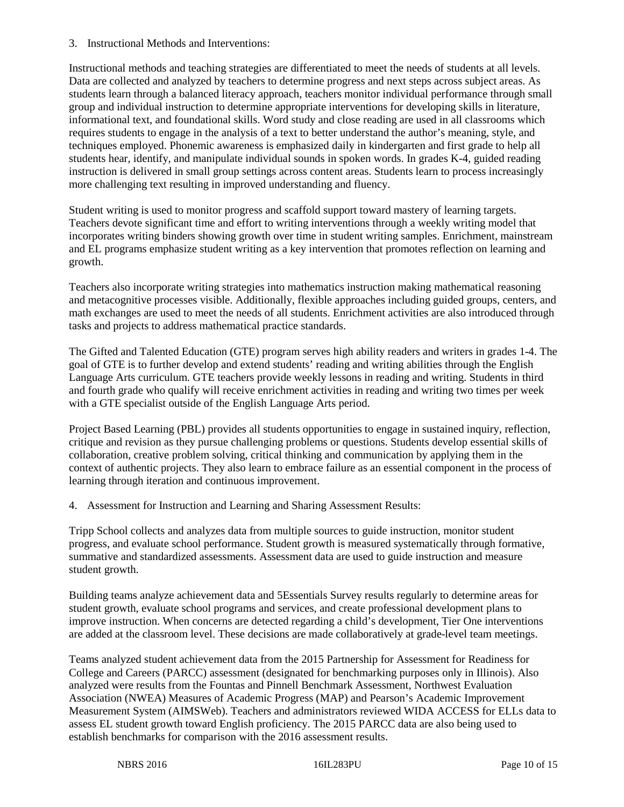3. Instructional Methods and Interventions:

Instructional methods and teaching strategies are differentiated to meet the needs of students at all levels. Data are collected and analyzed by teachers to determine progress and next steps across subject areas. As students learn through a balanced literacy approach, teachers monitor individual performance through small group and individual instruction to determine appropriate interventions for developing skills in literature, informational text, and foundational skills. Word study and close reading are used in all classrooms which requires students to engage in the analysis of a text to better understand the author's meaning, style, and techniques employed. Phonemic awareness is emphasized daily in kindergarten and first grade to help all students hear, identify, and manipulate individual sounds in spoken words. In grades K-4, guided reading instruction is delivered in small group settings across content areas. Students learn to process increasingly more challenging text resulting in improved understanding and fluency.

Student writing is used to monitor progress and scaffold support toward mastery of learning targets. Teachers devote significant time and effort to writing interventions through a weekly writing model that incorporates writing binders showing growth over time in student writing samples. Enrichment, mainstream and EL programs emphasize student writing as a key intervention that promotes reflection on learning and growth.

Teachers also incorporate writing strategies into mathematics instruction making mathematical reasoning and metacognitive processes visible. Additionally, flexible approaches including guided groups, centers, and math exchanges are used to meet the needs of all students. Enrichment activities are also introduced through tasks and projects to address mathematical practice standards.

The Gifted and Talented Education (GTE) program serves high ability readers and writers in grades 1-4. The goal of GTE is to further develop and extend students' reading and writing abilities through the English Language Arts curriculum. GTE teachers provide weekly lessons in reading and writing. Students in third and fourth grade who qualify will receive enrichment activities in reading and writing two times per week with a GTE specialist outside of the English Language Arts period.

Project Based Learning (PBL) provides all students opportunities to engage in sustained inquiry, reflection, critique and revision as they pursue challenging problems or questions. Students develop essential skills of collaboration, creative problem solving, critical thinking and communication by applying them in the context of authentic projects. They also learn to embrace failure as an essential component in the process of learning through iteration and continuous improvement.

4. Assessment for Instruction and Learning and Sharing Assessment Results:

Tripp School collects and analyzes data from multiple sources to guide instruction, monitor student progress, and evaluate school performance. Student growth is measured systematically through formative, summative and standardized assessments. Assessment data are used to guide instruction and measure student growth.

Building teams analyze achievement data and 5Essentials Survey results regularly to determine areas for student growth, evaluate school programs and services, and create professional development plans to improve instruction. When concerns are detected regarding a child's development, Tier One interventions are added at the classroom level. These decisions are made collaboratively at grade-level team meetings.

Teams analyzed student achievement data from the 2015 Partnership for Assessment for Readiness for College and Careers (PARCC) assessment (designated for benchmarking purposes only in Illinois). Also analyzed were results from the Fountas and Pinnell Benchmark Assessment, Northwest Evaluation Association (NWEA) Measures of Academic Progress (MAP) and Pearson's Academic Improvement Measurement System (AIMSWeb). Teachers and administrators reviewed WIDA ACCESS for ELLs data to assess EL student growth toward English proficiency. The 2015 PARCC data are also being used to establish benchmarks for comparison with the 2016 assessment results.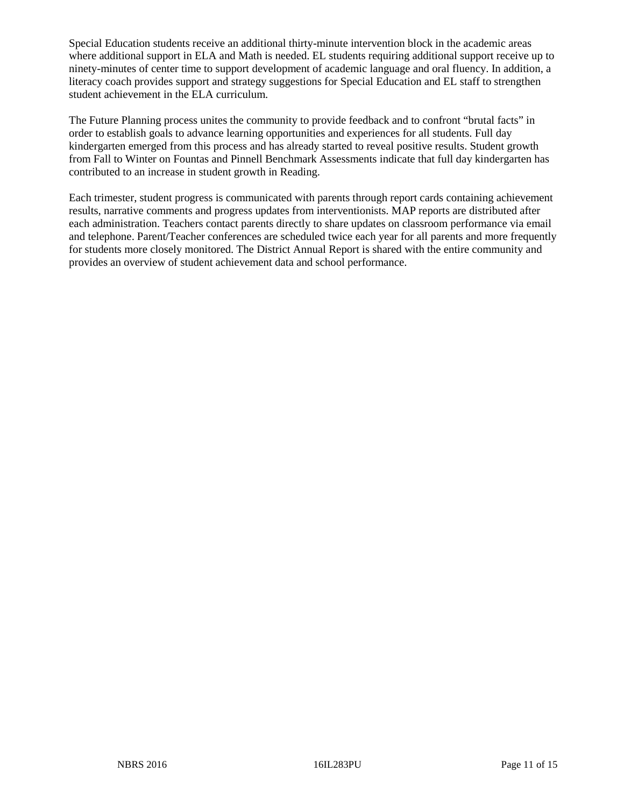Special Education students receive an additional thirty-minute intervention block in the academic areas where additional support in ELA and Math is needed. EL students requiring additional support receive up to ninety-minutes of center time to support development of academic language and oral fluency. In addition, a literacy coach provides support and strategy suggestions for Special Education and EL staff to strengthen student achievement in the ELA curriculum.

The Future Planning process unites the community to provide feedback and to confront "brutal facts" in order to establish goals to advance learning opportunities and experiences for all students. Full day kindergarten emerged from this process and has already started to reveal positive results. Student growth from Fall to Winter on Fountas and Pinnell Benchmark Assessments indicate that full day kindergarten has contributed to an increase in student growth in Reading.

Each trimester, student progress is communicated with parents through report cards containing achievement results, narrative comments and progress updates from interventionists. MAP reports are distributed after each administration. Teachers contact parents directly to share updates on classroom performance via email and telephone. Parent/Teacher conferences are scheduled twice each year for all parents and more frequently for students more closely monitored. The District Annual Report is shared with the entire community and provides an overview of student achievement data and school performance.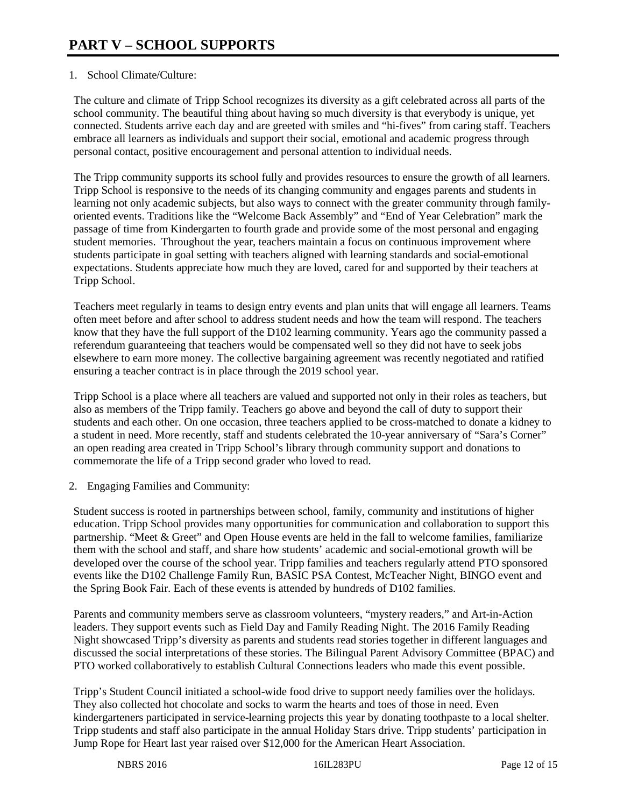# 1. School Climate/Culture:

The culture and climate of Tripp School recognizes its diversity as a gift celebrated across all parts of the school community. The beautiful thing about having so much diversity is that everybody is unique, yet connected. Students arrive each day and are greeted with smiles and "hi-fives" from caring staff. Teachers embrace all learners as individuals and support their social, emotional and academic progress through personal contact, positive encouragement and personal attention to individual needs.

The Tripp community supports its school fully and provides resources to ensure the growth of all learners. Tripp School is responsive to the needs of its changing community and engages parents and students in learning not only academic subjects, but also ways to connect with the greater community through familyoriented events. Traditions like the "Welcome Back Assembly" and "End of Year Celebration" mark the passage of time from Kindergarten to fourth grade and provide some of the most personal and engaging student memories. Throughout the year, teachers maintain a focus on continuous improvement where students participate in goal setting with teachers aligned with learning standards and social-emotional expectations. Students appreciate how much they are loved, cared for and supported by their teachers at Tripp School.

Teachers meet regularly in teams to design entry events and plan units that will engage all learners. Teams often meet before and after school to address student needs and how the team will respond. The teachers know that they have the full support of the D102 learning community. Years ago the community passed a referendum guaranteeing that teachers would be compensated well so they did not have to seek jobs elsewhere to earn more money. The collective bargaining agreement was recently negotiated and ratified ensuring a teacher contract is in place through the 2019 school year.

Tripp School is a place where all teachers are valued and supported not only in their roles as teachers, but also as members of the Tripp family. Teachers go above and beyond the call of duty to support their students and each other. On one occasion, three teachers applied to be cross-matched to donate a kidney to a student in need. More recently, staff and students celebrated the 10-year anniversary of "Sara's Corner" an open reading area created in Tripp School's library through community support and donations to commemorate the life of a Tripp second grader who loved to read.

2. Engaging Families and Community:

Student success is rooted in partnerships between school, family, community and institutions of higher education. Tripp School provides many opportunities for communication and collaboration to support this partnership. "Meet & Greet" and Open House events are held in the fall to welcome families, familiarize them with the school and staff, and share how students' academic and social-emotional growth will be developed over the course of the school year. Tripp families and teachers regularly attend PTO sponsored events like the D102 Challenge Family Run, BASIC PSA Contest, McTeacher Night, BINGO event and the Spring Book Fair. Each of these events is attended by hundreds of D102 families.

Parents and community members serve as classroom volunteers, "mystery readers," and Art-in-Action leaders. They support events such as Field Day and Family Reading Night. The 2016 Family Reading Night showcased Tripp's diversity as parents and students read stories together in different languages and discussed the social interpretations of these stories. The Bilingual Parent Advisory Committee (BPAC) and PTO worked collaboratively to establish Cultural Connections leaders who made this event possible.

Tripp's Student Council initiated a school-wide food drive to support needy families over the holidays. They also collected hot chocolate and socks to warm the hearts and toes of those in need. Even kindergarteners participated in service-learning projects this year by donating toothpaste to a local shelter. Tripp students and staff also participate in the annual Holiday Stars drive. Tripp students' participation in Jump Rope for Heart last year raised over \$12,000 for the American Heart Association.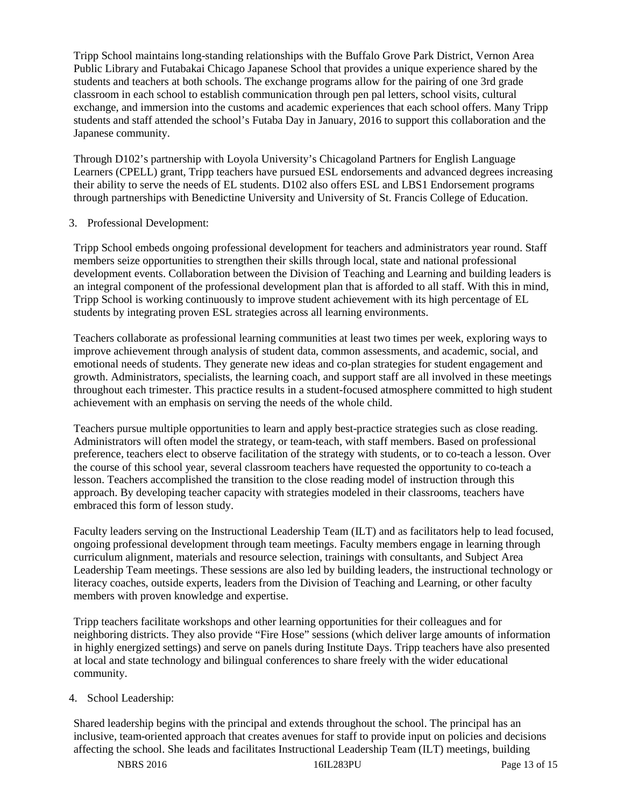Tripp School maintains long-standing relationships with the Buffalo Grove Park District, Vernon Area Public Library and Futabakai Chicago Japanese School that provides a unique experience shared by the students and teachers at both schools. The exchange programs allow for the pairing of one 3rd grade classroom in each school to establish communication through pen pal letters, school visits, cultural exchange, and immersion into the customs and academic experiences that each school offers. Many Tripp students and staff attended the school's Futaba Day in January, 2016 to support this collaboration and the Japanese community.

Through D102's partnership with Loyola University's Chicagoland Partners for English Language Learners (CPELL) grant, Tripp teachers have pursued ESL endorsements and advanced degrees increasing their ability to serve the needs of EL students. D102 also offers ESL and LBS1 Endorsement programs through partnerships with Benedictine University and University of St. Francis College of Education.

## 3. Professional Development:

Tripp School embeds ongoing professional development for teachers and administrators year round. Staff members seize opportunities to strengthen their skills through local, state and national professional development events. Collaboration between the Division of Teaching and Learning and building leaders is an integral component of the professional development plan that is afforded to all staff. With this in mind, Tripp School is working continuously to improve student achievement with its high percentage of EL students by integrating proven ESL strategies across all learning environments.

Teachers collaborate as professional learning communities at least two times per week, exploring ways to improve achievement through analysis of student data, common assessments, and academic, social, and emotional needs of students. They generate new ideas and co-plan strategies for student engagement and growth. Administrators, specialists, the learning coach, and support staff are all involved in these meetings throughout each trimester. This practice results in a student-focused atmosphere committed to high student achievement with an emphasis on serving the needs of the whole child.

Teachers pursue multiple opportunities to learn and apply best-practice strategies such as close reading. Administrators will often model the strategy, or team-teach, with staff members. Based on professional preference, teachers elect to observe facilitation of the strategy with students, or to co-teach a lesson. Over the course of this school year, several classroom teachers have requested the opportunity to co-teach a lesson. Teachers accomplished the transition to the close reading model of instruction through this approach. By developing teacher capacity with strategies modeled in their classrooms, teachers have embraced this form of lesson study.

Faculty leaders serving on the Instructional Leadership Team (ILT) and as facilitators help to lead focused, ongoing professional development through team meetings. Faculty members engage in learning through curriculum alignment, materials and resource selection, trainings with consultants, and Subject Area Leadership Team meetings. These sessions are also led by building leaders, the instructional technology or literacy coaches, outside experts, leaders from the Division of Teaching and Learning, or other faculty members with proven knowledge and expertise.

Tripp teachers facilitate workshops and other learning opportunities for their colleagues and for neighboring districts. They also provide "Fire Hose" sessions (which deliver large amounts of information in highly energized settings) and serve on panels during Institute Days. Tripp teachers have also presented at local and state technology and bilingual conferences to share freely with the wider educational community.

## 4. School Leadership:

Shared leadership begins with the principal and extends throughout the school. The principal has an inclusive, team-oriented approach that creates avenues for staff to provide input on policies and decisions affecting the school. She leads and facilitates Instructional Leadership Team (ILT) meetings, building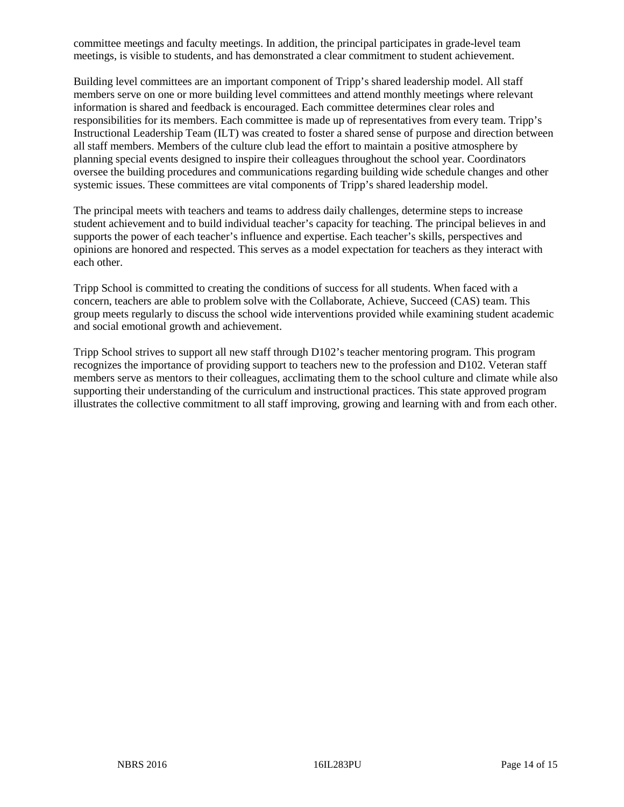committee meetings and faculty meetings. In addition, the principal participates in grade-level team meetings, is visible to students, and has demonstrated a clear commitment to student achievement.

Building level committees are an important component of Tripp's shared leadership model. All staff members serve on one or more building level committees and attend monthly meetings where relevant information is shared and feedback is encouraged. Each committee determines clear roles and responsibilities for its members. Each committee is made up of representatives from every team. Tripp's Instructional Leadership Team (ILT) was created to foster a shared sense of purpose and direction between all staff members. Members of the culture club lead the effort to maintain a positive atmosphere by planning special events designed to inspire their colleagues throughout the school year. Coordinators oversee the building procedures and communications regarding building wide schedule changes and other systemic issues. These committees are vital components of Tripp's shared leadership model.

The principal meets with teachers and teams to address daily challenges, determine steps to increase student achievement and to build individual teacher's capacity for teaching. The principal believes in and supports the power of each teacher's influence and expertise. Each teacher's skills, perspectives and opinions are honored and respected. This serves as a model expectation for teachers as they interact with each other.

Tripp School is committed to creating the conditions of success for all students. When faced with a concern, teachers are able to problem solve with the Collaborate, Achieve, Succeed (CAS) team. This group meets regularly to discuss the school wide interventions provided while examining student academic and social emotional growth and achievement.

Tripp School strives to support all new staff through D102's teacher mentoring program. This program recognizes the importance of providing support to teachers new to the profession and D102. Veteran staff members serve as mentors to their colleagues, acclimating them to the school culture and climate while also supporting their understanding of the curriculum and instructional practices. This state approved program illustrates the collective commitment to all staff improving, growing and learning with and from each other.